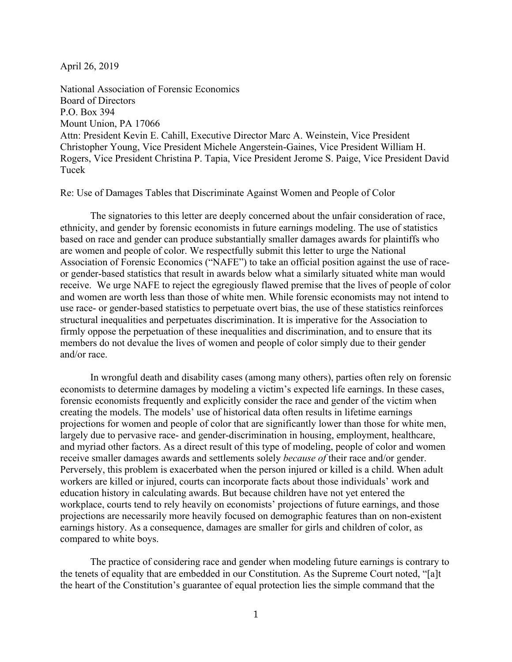April 26, 2019

National Association of Forensic Economics Board of Directors P.O. Box 394 Mount Union, PA 17066 Attn: President Kevin E. Cahill, Executive Director Marc A. Weinstein, Vice President Christopher Young, Vice President Michele Angerstein-Gaines, Vice President William H. Rogers, Vice President Christina P. Tapia, Vice President Jerome S. Paige, Vice President David Tucek

Re: Use of Damages Tables that Discriminate Against Women and People of Color

The signatories to this letter are deeply concerned about the unfair consideration of race, ethnicity, and gender by forensic economists in future earnings modeling. The use of statistics based on race and gender can produce substantially smaller damages awards for plaintiffs who are women and people of color. We respectfully submit this letter to urge the National Association of Forensic Economics ("NAFE") to take an official position against the use of raceor gender-based statistics that result in awards below what a similarly situated white man would receive. We urge NAFE to reject the egregiously flawed premise that the lives of people of color and women are worth less than those of white men. While forensic economists may not intend to use race- or gender-based statistics to perpetuate overt bias, the use of these statistics reinforces structural inequalities and perpetuates discrimination. It is imperative for the Association to firmly oppose the perpetuation of these inequalities and discrimination, and to ensure that its members do not devalue the lives of women and people of color simply due to their gender and/or race.

In wrongful death and disability cases (among many others), parties often rely on forensic economists to determine damages by modeling a victim's expected life earnings. In these cases, forensic economists frequently and explicitly consider the race and gender of the victim when creating the models. The models' use of historical data often results in lifetime earnings projections for women and people of color that are significantly lower than those for white men, largely due to pervasive race- and gender-discrimination in housing, employment, healthcare, and myriad other factors. As a direct result of this type of modeling, people of color and women receive smaller damages awards and settlements solely *because of* their race and/or gender. Perversely, this problem is exacerbated when the person injured or killed is a child. When adult workers are killed or injured, courts can incorporate facts about those individuals' work and education history in calculating awards. But because children have not yet entered the workplace, courts tend to rely heavily on economists' projections of future earnings, and those projections are necessarily more heavily focused on demographic features than on non-existent earnings history. As a consequence, damages are smaller for girls and children of color, as compared to white boys.

The practice of considering race and gender when modeling future earnings is contrary to the tenets of equality that are embedded in our Constitution. As the Supreme Court noted, "[a]t the heart of the Constitution's guarantee of equal protection lies the simple command that the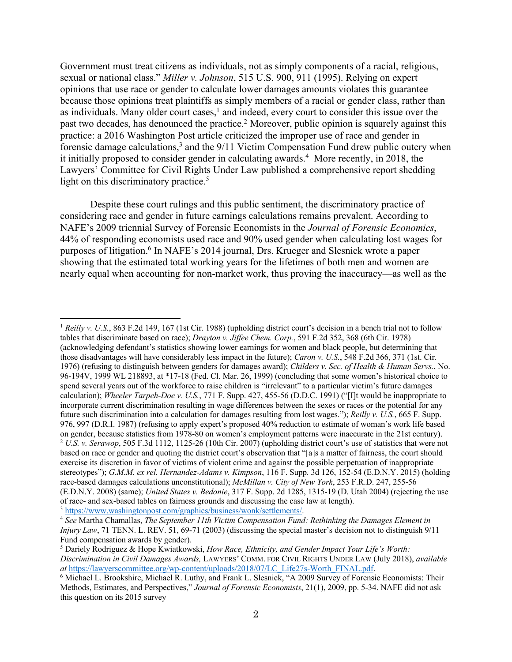Government must treat citizens as individuals, not as simply components of a racial, religious, sexual or national class." *Miller v. Johnson*, 515 U.S. 900, 911 (1995). Relying on expert opinions that use race or gender to calculate lower damages amounts violates this guarantee because those opinions treat plaintiffs as simply members of a racial or gender class, rather than as individuals. Many older court cases, $<sup>1</sup>$  and indeed, every court to consider this issue over the</sup> past two decades, has denounced the practice.<sup>2</sup> Moreover, public opinion is squarely against this practice: a 2016 Washington Post article criticized the improper use of race and gender in forensic damage calculations,<sup>3</sup> and the 9/11 Victim Compensation Fund drew public outcry when it initially proposed to consider gender in calculating awards.<sup>4</sup> More recently, in 2018, the Lawyers' Committee for Civil Rights Under Law published a comprehensive report shedding light on this discriminatory practice.<sup>5</sup>

Despite these court rulings and this public sentiment, the discriminatory practice of considering race and gender in future earnings calculations remains prevalent. According to NAFE's 2009 triennial Survey of Forensic Economists in the *Journal of Forensic Economics*, 44% of responding economists used race and 90% used gender when calculating lost wages for purposes of litigation.6 In NAFE's 2014 journal, Drs. Krueger and Slesnick wrote a paper showing that the estimated total working years for the lifetimes of both men and women are nearly equal when accounting for non-market work, thus proving the inaccuracy—as well as the

 $\overline{a}$ 

<sup>1</sup> *Reilly v. U.S.*, 863 F.2d 149, 167 (1st Cir. 1988) (upholding district court's decision in a bench trial not to follow tables that discriminate based on race); *Drayton v. Jiffee Chem. Corp.*, 591 F.2d 352, 368 (6th Cir. 1978) (acknowledging defendant's statistics showing lower earnings for women and black people, but determining that those disadvantages will have considerably less impact in the future); *Caron v. U.S.*, 548 F.2d 366, 371 (1st. Cir. 1976) (refusing to distinguish between genders for damages award); *Childers v. Sec. of Health & Human Servs.*, No. 96-194V, 1999 WL 218893, at \*17-18 (Fed. Cl. Mar. 26, 1999) (concluding that some women's historical choice to spend several years out of the workforce to raise children is "irrelevant" to a particular victim's future damages calculation); *Wheeler Tarpeh-Doe v. U.S.*, 771 F. Supp. 427, 455-56 (D.D.C. 1991) ("[I]t would be inappropriate to incorporate current discrimination resulting in wage differences between the sexes or races or the potential for any future such discrimination into a calculation for damages resulting from lost wages."); *Reilly v. U.S.*, 665 F. Supp. 976, 997 (D.R.I. 1987) (refusing to apply expert's proposed 40% reduction to estimate of woman's work life based on gender, because statistics from 1978-80 on women's employment patterns were inaccurate in the 21st century).<br><sup>2</sup> U.S. v. Serawop, 505 F.3d 1112, 1125-26 (10th Cir. 2007) (upholding district court's use of statistics th based on race or gender and quoting the district court's observation that "[a]s a matter of fairness, the court should exercise its discretion in favor of victims of violent crime and against the possible perpetuation of inappropriate stereotypes"); *G.M.M. ex rel. Hernandez-Adams v. Kimpson*, 116 F. Supp. 3d 126, 152-54 (E.D.N.Y. 2015) (holding race-based damages calculations unconstitutional); *McMillan v. City of New York*, 253 F.R.D. 247, 255-56 (E.D.N.Y. 2008) (same); *United States v. Bedonie*, 317 F. Supp. 2d 1285, 1315-19 (D. Utah 2004) (rejecting the use of race- and sex-based tables on fairness grounds and discussing the case law at length).

<sup>3</sup> https://www.washingtonpost.com/graphics/business/wonk/settlements/.

<sup>4</sup> *See* Martha Chamallas, *The September 11th Victim Compensation Fund: Rethinking the Damages Element in Injury Law*, 71 TENN. L. REV. 51, 69-71 (2003) (discussing the special master's decision not to distinguish 9/11 Fund compensation awards by gender).

<sup>5</sup> Dariely Rodriguez & Hope Kwiatkowski, *How Race, Ethnicity, and Gender Impact Your Life's Worth: Discrimination in Civil Damages Awards,* LAWYERS' COMM. FOR CIVIL RIGHTS UNDER LAW (July 2018), *available* 

<sup>&</sup>lt;sup>6</sup> Michael L. Brookshire, Michael R. Luthy, and Frank L. Slesnick, "A 2009 Survey of Forensic Economists: Their Methods, Estimates, and Perspectives," *Journal of Forensic Economists*, 21(1), 2009, pp. 5-34. NAFE did not ask this question on its 2015 survey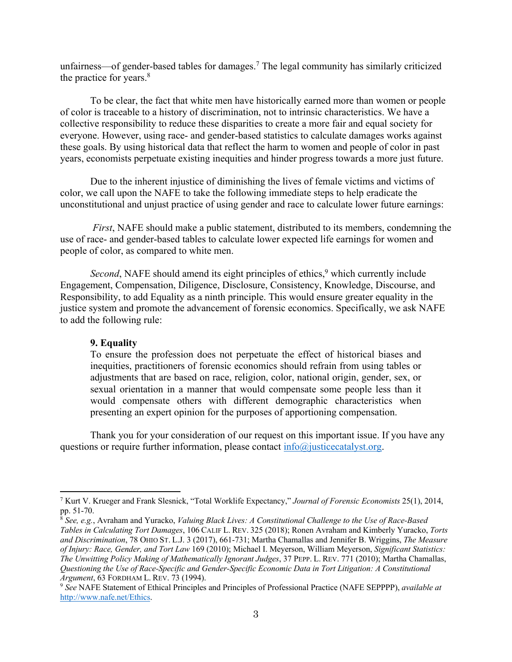unfairness—of gender-based tables for damages.7 The legal community has similarly criticized the practice for years.<sup>8</sup>

To be clear, the fact that white men have historically earned more than women or people of color is traceable to a history of discrimination, not to intrinsic characteristics. We have a collective responsibility to reduce these disparities to create a more fair and equal society for everyone. However, using race- and gender-based statistics to calculate damages works against these goals. By using historical data that reflect the harm to women and people of color in past years, economists perpetuate existing inequities and hinder progress towards a more just future.

Due to the inherent injustice of diminishing the lives of female victims and victims of color, we call upon the NAFE to take the following immediate steps to help eradicate the unconstitutional and unjust practice of using gender and race to calculate lower future earnings:

*First*, NAFE should make a public statement, distributed to its members, condemning the use of race- and gender-based tables to calculate lower expected life earnings for women and people of color, as compared to white men.

Second, NAFE should amend its eight principles of ethics,<sup>9</sup> which currently include Engagement, Compensation, Diligence, Disclosure, Consistency, Knowledge, Discourse, and Responsibility, to add Equality as a ninth principle. This would ensure greater equality in the justice system and promote the advancement of forensic economics. Specifically, we ask NAFE to add the following rule:

## **9. Equality**

 $\overline{\phantom{a}}$ 

To ensure the profession does not perpetuate the effect of historical biases and inequities, practitioners of forensic economics should refrain from using tables or adjustments that are based on race, religion, color, national origin, gender, sex, or sexual orientation in a manner that would compensate some people less than it would compensate others with different demographic characteristics when presenting an expert opinion for the purposes of apportioning compensation.

Thank you for your consideration of our request on this important issue. If you have any questions or require further information, please contact  $info@$  justicecatalyst.org.

<sup>7</sup> Kurt V. Krueger and Frank Slesnick, "Total Worklife Expectancy," *Journal of Forensic Economists* 25(1), 2014, pp. 51-70.

<sup>8</sup> *See, e.g.*, Avraham and Yuracko, *Valuing Black Lives: A Constitutional Challenge to the Use of Race-Based Tables in Calculating Tort Damages*, 106 CALIF L. REV. 325 (2018); Ronen Avraham and Kimberly Yuracko, *Torts and Discrimination*, 78 OHIO ST. L.J. 3 (2017), 661-731; Martha Chamallas and Jennifer B. Wriggins, *The Measure of Injury: Race, Gender, and Tort Law* 169 (2010); Michael I. Meyerson, William Meyerson, *Significant Statistics: The Unwitting Policy Making of Mathematically Ignorant Judges*, 37 PEPP. L. REV. 771 (2010); Martha Chamallas, *Questioning the Use of Race-Specific and Gender-Specific Economic Data in Tort Litigation: A Constitutional Argument*, 63 FORDHAM L. REV. 73 (1994).

<sup>9</sup> *See* NAFE Statement of Ethical Principles and Principles of Professional Practice (NAFE SEPPPP), *available at*  http://www.nafe.net/Ethics.